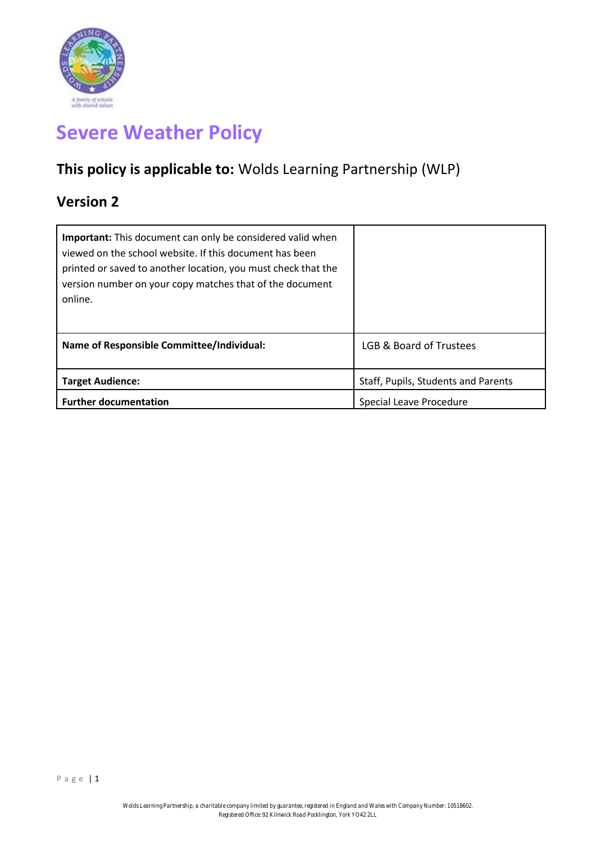

# **Severe Weather Policy**

## **This policy is applicable to:** Wolds Learning Partnership (WLP)

### **Version 2**

| <b>Important:</b> This document can only be considered valid when<br>viewed on the school website. If this document has been<br>printed or saved to another location, you must check that the<br>version number on your copy matches that of the document<br>online. |                                     |
|----------------------------------------------------------------------------------------------------------------------------------------------------------------------------------------------------------------------------------------------------------------------|-------------------------------------|
| <b>Name of Responsible Committee/Individual:</b>                                                                                                                                                                                                                     | LGB & Board of Trustees             |
| <b>Target Audience:</b>                                                                                                                                                                                                                                              | Staff, Pupils, Students and Parents |
| <b>Further documentation</b>                                                                                                                                                                                                                                         | Special Leave Procedure             |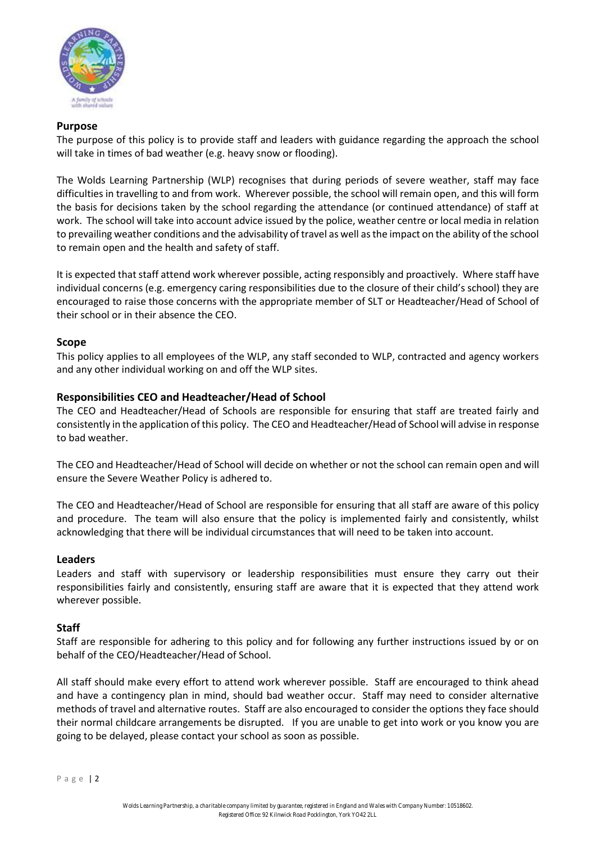

#### **Purpose**

The purpose of this policy is to provide staff and leaders with guidance regarding the approach the school will take in times of bad weather (e.g. heavy snow or flooding).

The Wolds Learning Partnership (WLP) recognises that during periods of severe weather, staff may face difficulties in travelling to and from work. Wherever possible, the school will remain open, and this will form the basis for decisions taken by the school regarding the attendance (or continued attendance) of staff at work. The school will take into account advice issued by the police, weather centre or local media in relation to prevailing weather conditions and the advisability of travel as well as the impact on the ability of the school to remain open and the health and safety of staff.

It is expected that staff attend work wherever possible, acting responsibly and proactively. Where staff have individual concerns (e.g. emergency caring responsibilities due to the closure of their child's school) they are encouraged to raise those concerns with the appropriate member of SLT or Headteacher/Head of School of their school or in their absence the CEO.

#### **Scope**

This policy applies to all employees of the WLP, any staff seconded to WLP, contracted and agency workers and any other individual working on and off the WLP sites.

#### **Responsibilities CEO and Headteacher/Head of School**

The CEO and Headteacher/Head of Schools are responsible for ensuring that staff are treated fairly and consistently in the application of this policy. The CEO and Headteacher/Head of School will advise in response to bad weather.

The CEO and Headteacher/Head of School will decide on whether or not the school can remain open and will ensure the Severe Weather Policy is adhered to.

The CEO and Headteacher/Head of School are responsible for ensuring that all staff are aware of this policy and procedure. The team will also ensure that the policy is implemented fairly and consistently, whilst acknowledging that there will be individual circumstances that will need to be taken into account.

#### **Leaders**

Leaders and staff with supervisory or leadership responsibilities must ensure they carry out their responsibilities fairly and consistently, ensuring staff are aware that it is expected that they attend work wherever possible.

#### **Staff**

Staff are responsible for adhering to this policy and for following any further instructions issued by or on behalf of the CEO/Headteacher/Head of School.

All staff should make every effort to attend work wherever possible. Staff are encouraged to think ahead and have a contingency plan in mind, should bad weather occur. Staff may need to consider alternative methods of travel and alternative routes. Staff are also encouraged to consider the options they face should their normal childcare arrangements be disrupted. If you are unable to get into work or you know you are going to be delayed, please contact your school as soon as possible.

P a g e | 2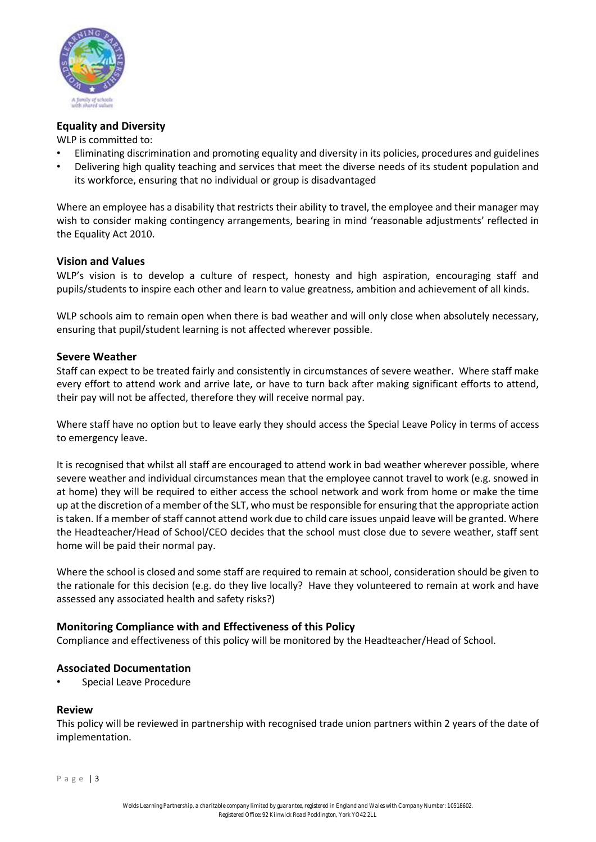

#### **Equality and Diversity**

WLP is committed to:

- Eliminating discrimination and promoting equality and diversity in its policies, procedures and guidelines
- Delivering high quality teaching and services that meet the diverse needs of its student population and its workforce, ensuring that no individual or group is disadvantaged

Where an employee has a disability that restricts their ability to travel, the employee and their manager may wish to consider making contingency arrangements, bearing in mind 'reasonable adjustments' reflected in the Equality Act 2010.

#### **Vision and Values**

WLP's vision is to develop a culture of respect, honesty and high aspiration, encouraging staff and pupils/students to inspire each other and learn to value greatness, ambition and achievement of all kinds.

WLP schools aim to remain open when there is bad weather and will only close when absolutely necessary, ensuring that pupil/student learning is not affected wherever possible.

#### **Severe Weather**

Staff can expect to be treated fairly and consistently in circumstances of severe weather. Where staff make every effort to attend work and arrive late, or have to turn back after making significant efforts to attend, their pay will not be affected, therefore they will receive normal pay.

Where staff have no option but to leave early they should access the Special Leave Policy in terms of access to emergency leave.

It is recognised that whilst all staff are encouraged to attend work in bad weather wherever possible, where severe weather and individual circumstances mean that the employee cannot travel to work (e.g. snowed in at home) they will be required to either access the school network and work from home or make the time up at the discretion of a member of the SLT, who must be responsible for ensuring that the appropriate action is taken. If a member of staff cannot attend work due to child care issues unpaid leave will be granted. Where the Headteacher/Head of School/CEO decides that the school must close due to severe weather, staff sent home will be paid their normal pay.

Where the school is closed and some staff are required to remain at school, consideration should be given to the rationale for this decision (e.g. do they live locally? Have they volunteered to remain at work and have assessed any associated health and safety risks?)

#### **Monitoring Compliance with and Effectiveness of this Policy**

Compliance and effectiveness of this policy will be monitored by the Headteacher/Head of School.

#### **Associated Documentation**

• Special Leave Procedure

#### **Review**

This policy will be reviewed in partnership with recognised trade union partners within 2 years of the date of implementation.

P a g e | 3